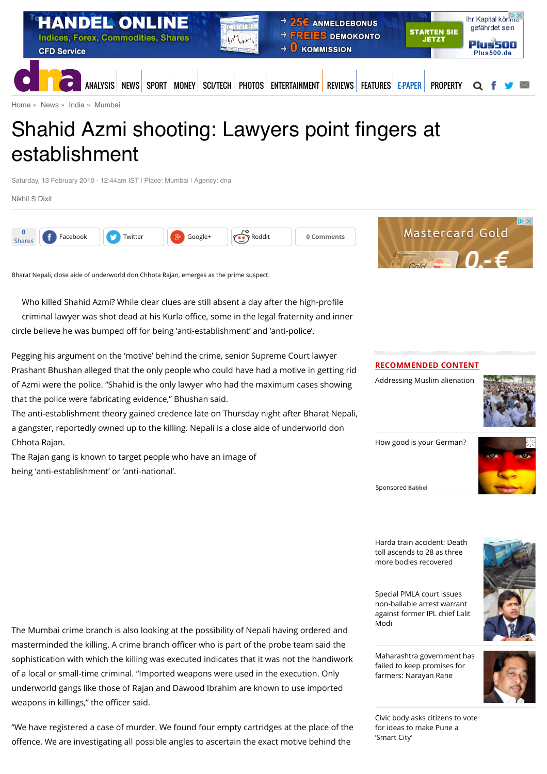

# Shahid Azmi shooting: Lawyers point fingers at establishment

Saturday, 13 February 2010 - 12:44am IST | Place: Mumbai | Agency: dna

[Nikhil S Dixit](http://www.dnaindia.com/authors/nikhil-s-dixit)



Bharat Nepali, close aide of underworld don Chhota Rajan, emerges as the prime suspect.

Who killed Shahid Azmi? While clear clues are still absent a day after the high-profile criminal lawyer was shot dead at his Kurla office, some in the legal fraternity and inner circle believe he was bumped off for being 'anti-establishment' and 'anti-police'.

Pegging his argument on the 'motive' behind the crime, senior Supreme Court lawyer Prashant Bhushan alleged that the only people who could have had a motive in getting rid of Azmi were the police. "Shahid is the only lawyer who had the maximum cases showing that the police were fabricating evidence," Bhushan said.

The anti-establishment theory gained credence late on Thursday night after Bharat Nepali, a gangster, reportedly owned up to the killing. Nepali is a close aide of underworld don Chhota Rajan.

The Rajan gang is known to target people who have an image of being 'anti-establishment' or 'anti-national'.

#### **RECOMMENDED CONTENT**

[Addressing Muslim alienation](http://www.dnaindia.com/analysis/standpoint-addressing-muslim-alienation-2111775)



[How good is your German?](https://beap.gemini.yahoo.com/mbclk?bv=1.0.0&es=WCxpz6MGIS8l3c0XlV8uUXOBeuSaeObzyr_Wzk_XDgC4m7Oh_5gxX5pB2Wr4pI6nJORPQos85f3waR88PYHekK7sO35agxg0HbK512wS93BiZ8bGbUUxfteV_H7MIdT0v60IcjwOTnFFPhz0idCzMCOlCwM7ema80cwhDKlkpuxIGoCgtBC611iEskoHpsFSxPMGZztMA_nOTybdx0EzpvV.zEuzA2R6Q1mY6SAWWGh4Gaom6bYQv8HxuawGIn7vAbppQVhueco4ErDORjsCxq1EyeejZh3V6KcvKgIFhDYen1Vds_dYragCYxI1.ulqx.AcUbEEBSe3r0BNIuoY7fA12jC0j0EjzMIvvJFFZ5xLFpWa2175HtGT0WAtttTQ0BjbC6KxKi967iAI1lrsXQhAPtKzcDBDPzjhUL3ejhS4Ke..xYZdHbulEY1NNYLtk0zbaAifmITwPxFBrf8KwzvFnPerKm37MHg2pqSQzBhFjOxo%26lp=)



Sponsored **Babbel**

[Harda train accident: Death](http://www.dnaindia.com/india/report-harda-train-accident-death-toll-ascends-to-28-as-three-more-bodies-recovered-2111658) toll ascends to 28 as three more bodies recovered

Special PMLA court issues non-bailable arrest warrant [against former IPL chief Lalit](http://www.dnaindia.com/india/report-special-pmla-court-issues-non-bailable-arrest-warrant-against-former-ipl-chief-lalit-modi-2111259) Modi

[Maharashtra government has](http://www.dnaindia.com/mumbai/report-maharashtra-government-has-failed-to-keep-promises-for-farmers-narayan-rane-2111746) failed to keep promises for farmers: Narayan Rane



[Civic body asks citizens to vote](http://www.dnaindia.com/pune/report-civic-body-asks-citizens-to-vote-for-ideas-to-make-pune-a-smart-city-2111741) for ideas to make Pune a 'Smart City'

The Mumbai crime branch is also looking at the possibility of Nepali having ordered and masterminded the killing. A crime branch officer who is part of the probe team said the sophistication with which the killing was executed indicates that it was not the handiwork of a local or small-time criminal. "Imported weapons were used in the execution. Only underworld gangs like those of Rajan and Dawood Ibrahim are known to use imported weapons in killings," the officer said.

"We have registered a case of murder. We found four empty cartridges at the place of the offence. We are investigating all possible angles to ascertain the exact motive behind the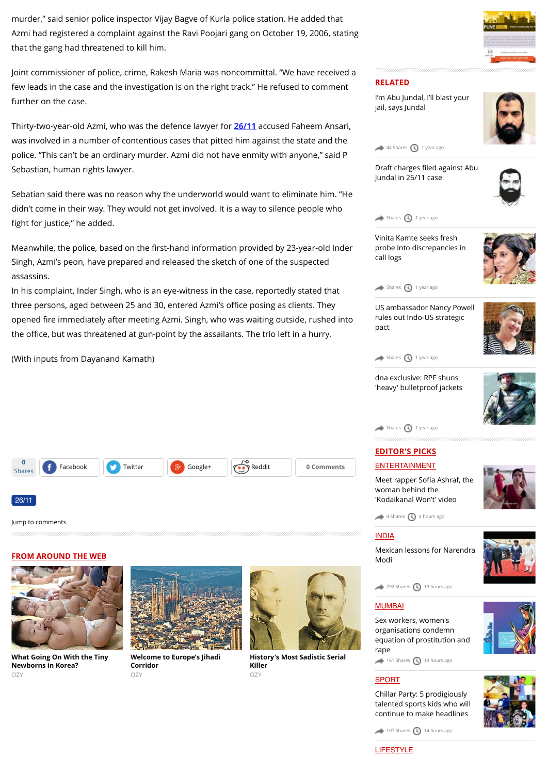murder," said senior police inspector Vijay Bagve of Kurla police station. He added that Azmi had registered a complaint against the Ravi Poojari gang on October 19, 2006, stating that the gang had threatened to kill him.

Joint commissioner of police, crime, Rakesh Maria was noncommittal. "We have received a few leads in the case and the investigation is on the right track.'' He refused to comment further on the case.

Thirty-two-year-old Azmi, who was the defence lawyer for **[26/11](http://www.dnaindia.com/topic/2611)** accused Faheem Ansari, was involved in a number of contentious cases that pitted him against the state and the police. "This can't be an ordinary murder. Azmi did not have enmity with anyone," said P Sebastian, human rights lawyer.

Sebatian said there was no reason why the underworld would want to eliminate him. "He didn't come in their way. They would not get involved. It is a way to silence people who fight for justice," he added.

Meanwhile, the police, based on the first-hand information provided by 23-year-old Inder Singh, Azmi's peon, have prepared and released the sketch of one of the suspected assassins.

In his complaint, Inder Singh, who is an eye-witness in the case, reportedly stated that three persons, aged between 25 and 30, entered Azmi's office posing as clients. They opened fire immediately after meeting Azmi. Singh, who was waiting outside, rushed into the office, but was threatened at gun-point by the assailants. The trio left in a hurry.

(With inputs from Dayanand Kamath)

| <b>0</b><br>Shares | (f<br>Facebook | Twitter | 8,<br>Google+ | Reddit | 0 Comments |
|--------------------|----------------|---------|---------------|--------|------------|
|                    |                |         |               |        |            |
| 26/11              |                |         |               |        |            |

[Jump to comments](http://www.dnaindia.com/mumbai/report-shahid-azmi-shooting-lawyers-point-fingers-at-establishment-1347146#comments)

#### **FROM AROUND THE WEB**



**[What Going On With the Tiny](http://www.ozy.com/acumen/whats-wrong-with-all-those-little-newborns/40384?utm_source=Outbrain&utm_medium=CPC&utm_campaign=INTL%20-%20All%20Clicks%20ALL%20Devices) Newborns in Korea?** OZY



**[Welcome to Europe's Jihadi](http://www.ozy.com/fast-forward/welcome-to-europes-jihadi-corridor/60342?utm_source=Outbrain&utm_medium=CPC&utm_campaign=INTL%20-%20All%20Clicks%20ALL%20Devices) Corridor**  $OZY$ 



**[History's Most Sadistic Serial](http://www.ozy.com/flashback/historys-most-sadistic-serial-killer/40585?utm_source=Outbrain&utm_medium=CPC&utm_campaign=INTL%20-%20All%20Clicks%20ALL%20Devices) Killer** OZY







jail, says Jundal

Draft charges filed against Abu [Jundal in 26/11 case](http://www.dnaindia.com/mumbai/report-draft-charges-filed-against-abu-jundal-in-2611-case-1941492)





Vinita Kamte seeks fresh [probe into discrepancies in](http://www.dnaindia.com/mumbai/report-vinita-kamte-seeks-fresh-probe-into-discrepancies-in-call-logs-1935420) call logs



 $\leftrightarrow$  [Shares](http://www.dnaindia.com/mumbai/report-shahid-azmi-shooting-lawyers-point-fingers-at-establishment-1347146#)  $\bigcirc$  [1 year ago](http://www.dnaindia.com/mumbai/report-shahid-azmi-shooting-lawyers-point-fingers-at-establishment-1347146#)

[US ambassador Nancy Powell](http://www.dnaindia.com/mumbai/interview-us-ambassador-nancy-powell-rules-out-indo-us-strategic-pact-1928541) rules out Indo-US strategic pact



dna exclusive: RPF shuns ['heavy' bulletproof jackets](http://www.dnaindia.com/mumbai/report-dna-exclusive-rpf-shuns-heavy-bulletproof-jackets-1928535)



 $\leftrightarrow$  [Shares](http://www.dnaindia.com/mumbai/report-shahid-azmi-shooting-lawyers-point-fingers-at-establishment-1347146#)  $\bigcirc$  [1 year ago](http://www.dnaindia.com/mumbai/report-shahid-azmi-shooting-lawyers-point-fingers-at-establishment-1347146#)

# **EDITOR'S PICKS [ENTERTAINMENT](http://www.dnaindia.com/entertainment)**

Meet rapper Sofia Ashraf, the woman behind the ['Kodaikanal Won't' video](http://www.dnaindia.com/entertainment/report-meet-rapper-sofia-ashraf-the-woman-behind-the-kodaikanal-won-t-video-2111670)



 $4$  Shares  $\bigcirc$  [4 hours ago](http://www.dnaindia.com/mumbai/report-shahid-azmi-shooting-lawyers-point-fingers-at-establishment-1347146#)

#### [INDIA](http://www.dnaindia.com/india)

[Mexican lessons for Narendra](http://www.dnaindia.com/india/report-mexican-lessons-for-narendra-modi-2111501) Modi

[292 Shares](http://www.dnaindia.com/mumbai/report-shahid-azmi-shooting-lawyers-point-fingers-at-establishment-1347146#) [13 hours ago](http://www.dnaindia.com/mumbai/report-shahid-azmi-shooting-lawyers-point-fingers-at-establishment-1347146#)

#### **[MUMBAI](http://www.dnaindia.com/mumbai)**



 $161$  Shares  $\bigcirc$  [13 hours ago](http://www.dnaindia.com/mumbai/report-shahid-azmi-shooting-lawyers-point-fingers-at-establishment-1347146#)

#### [SPORT](http://www.dnaindia.com/sport)

Chillar Party: 5 prodigiously [talented sports kids who will](http://www.dnaindia.com/sport/report-chillar-party-5-prodigiously-talented-sports-kids-who-will-continue-to-make-headlines-2111405) continue to make headlines



 $107$  Shares  $\bigcirc$  [14 hours ago](http://www.dnaindia.com/mumbai/report-shahid-azmi-shooting-lawyers-point-fingers-at-establishment-1347146#)

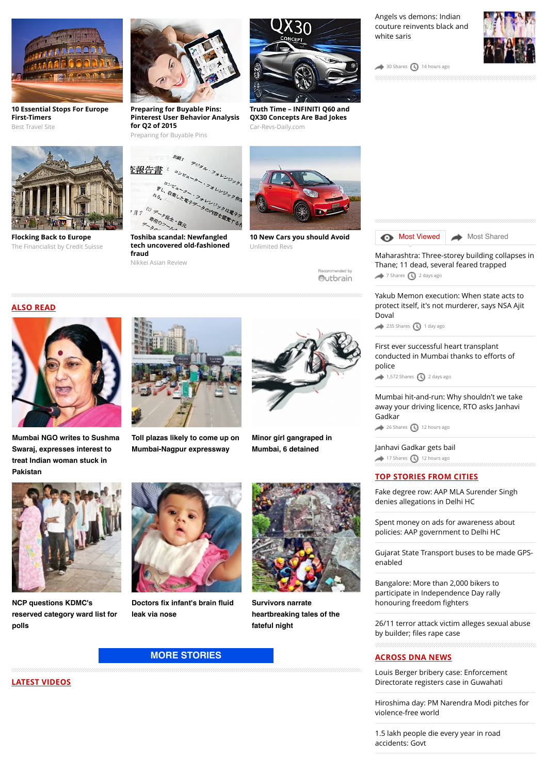

**[10 Essential Stops For Europe](http://travel-gist.com/10-essential-stops-for-europe-first-timers/) First-Timers** Best Travel Site



**Flocking Back to Europe** [The Financialist by Credit Suisse](http://www.thefinancialist.com/flocking-back-to-europe/?utm_source=outbrain&utm_medium=cpc&utm_campaign=The%20Financialist%20stories%20-%20WEST&utm_content=42052007&utm_term=4777563)



**Preparing for Buyable Pins: [Pinterest User Behavior Analysis](https://www.jumpshot.com/preparing-for-buyable-pins-pinterest-user-behavior-analysis-for-q2-of-2015/?utm_source=Outbrain&utm_medium=content&utm_content=Pinterest_BuyablePins&utm_campaign=Outbrain_Pinterest) for Q2 of 2015**

Preparing for Buyable Pins



**Toshiba scandal: Newfangled [tech uncovered old-fashioned](http://asia.nikkei.com/Features/Accounting-scandal/Newfangled-tech-uncovered-old-fashioned-fraud) fraud**

Nikkei Asian Review



**[Truth Time – INFINITI Q60 and](http://www.car-revs-daily.com/2015/03/04/truth-time-infiniti-q60-and-qx30-concepts-are-bad-jokes/) QX30 Concepts Are Bad Jokes** Car-Revs-Daily.com



 $30$  Shares  $\bigcirc$  [14 hours ago](http://www.dnaindia.com/mumbai/report-shahid-azmi-shooting-lawyers-point-fingers-at-establishment-1347146#)





[Maharashtra: Three-storey building collapses in](http://www.dnaindia.com/mumbai/report-maharashtra-three-storey-building-collapses-in-thane-11-dead-several-feared-trapped-2110890) Thane; 11 dead, several feared trapped [7 Shares](http://www.dnaindia.com/mumbai/report-shahid-azmi-shooting-lawyers-point-fingers-at-establishment-1347146#) **4** [2 days ago](http://www.dnaindia.com/mumbai/report-shahid-azmi-shooting-lawyers-point-fingers-at-establishment-1347146#)

Yakub Memon execution: When state acts to [protect itself, it's not murderer, says NSA Ajit](http://www.dnaindia.com/mumbai/report-yakub-memon-execution-when-state-acts-to-protect-itself-it-s-not-murderer-says-nsa-ajit-doval-2111205) Doval

 $235$  Shares  $\bigodot$  [1 day ago](http://www.dnaindia.com/mumbai/report-shahid-azmi-shooting-lawyers-point-fingers-at-establishment-1347146#)

[First ever successful heart transplant](http://www.dnaindia.com/mumbai/report-first-ever-successful-heart-transplant-conducted-in-mumbai-thanks-to-efforts-of-police-2110832) conducted in Mumbai thanks to efforts of police

 $1,572$  Shares  $\bigodot$  [2 days ago](http://www.dnaindia.com/mumbai/report-shahid-azmi-shooting-lawyers-point-fingers-at-establishment-1347146#)

[Mumbai hit-and-run: Why shouldn't we take](http://www.dnaindia.com/mumbai/report-mumbai-hit-and-run-why-shouldn-t-we-take-away-your-driving-licence-rto-asks-janhavi-gadkar-2111529) away your driving licence, RTO asks Janhavi Gadkar

[26 Shares](http://www.dnaindia.com/mumbai/report-shahid-azmi-shooting-lawyers-point-fingers-at-establishment-1347146#) [12 hours ago](http://www.dnaindia.com/mumbai/report-shahid-azmi-shooting-lawyers-point-fingers-at-establishment-1347146#)

[Janhavi Gadkar gets bail](http://www.dnaindia.com/mumbai/report-janhavi-gadkar-gets-bail-2111487)  $\rightarrow$  [17 Shares](http://www.dnaindia.com/mumbai/report-shahid-azmi-shooting-lawyers-point-fingers-at-establishment-1347146#)  $\bigcirc$  [12 hours ago](http://www.dnaindia.com/mumbai/report-shahid-azmi-shooting-lawyers-point-fingers-at-establishment-1347146#)

## **TOP STORIES FROM CITIES**

[Fake degree row: AAP MLA Surender Singh](http://www.dnaindia.com/delhi/report-fake-degree-row-aap-mla-surender-singh-denies-allegations-in-delhi-hc-2111748) denies allegations in Delhi HC

[Spent money on ads for awareness about](http://www.dnaindia.com/delhi/report-spent-money-on-ads-for-awareness-about-policies-aap-government-to-delhi-hc-2111728) policies: AAP government to Delhi HC

[Gujarat State Transport buses to be made GPS](http://www.dnaindia.com/ahmedabad/report-gujarat-state-transport-buses-to-be-made-gps-enabled-2111679)enabled

Bangalore: More than 2,000 bikers to [participate in Independence Day rally](http://www.dnaindia.com/bangalore/report-bangalore-more-than-2000-bikers-to-participate-in-independence-day-rally-honouring-freedom-fighters-2111660) honouring freedom fighters

[26/11 terror attack victim alleges sexual abuse](http://www.dnaindia.com/mumbai/report-2611-terror-attack-victim-alleges-sexual-abuse-by-builder-files-rape-case-2111555) by builder; files rape case

#### **ACROSS DNA NEWS**

[Louis Berger bribery case: Enforcement](http://www.dnaindia.com/india/report-louis-berger-bribery-case-enforcement-directorate-registers-case-in-guwahati-2111764) Directorate registers case in Guwahati

[Hiroshima day: PM Narendra Modi pitches for](http://www.dnaindia.com/india/report-hiroshima-day-pm-narendra-modi-pitches-for-violence-free-world-2111765) violence-free world

[1.5 lakh people die every year in road](http://www.dnaindia.com/india/report-15-lakh-people-die-every-year-in-road-accidents-govt-2111763) accidents: Govt

# **ALSO READ**



**[Mumbai NGO writes to Sushma](http://www.dnaindia.com/mumbai/report-mumbai-ngo-writes-to-sushma-swaraj-expresses-interest-to-treat-indian-woman-stuck-in-pakistan-2111451) Swaraj, expresses interest to treat Indian woman stuck in Pakistan**



**[Toll plazas likely to come up on](http://www.dnaindia.com/mumbai/report-toll-plazas-likely-to-come-up-on-mumbai-nagpur-expressway-2111314) Mumbai-Nagpur expressway**



Recommended by Outbrain

Unlimited Revs

**[Minor girl gangraped in](http://www.dnaindia.com/mumbai/report-minor-girl-gangraped-in-mumbai-6-detained-2111286) Mumbai, 6 detained**



**NCP questions KDMC's [reserved category ward list for](http://www.dnaindia.com/mumbai/report-ncp-questions-kdmc-s-reserved-category-ward-list-for-polls-2111208) polls**



**[Doctors fix infant's brain fluid](http://www.dnaindia.com/mumbai/report-doctors-fix-infant-s-brain-fluid-leak-via-nose-2111188) leak via nose**



**Survivors narrate [heartbreaking tales of the](http://www.dnaindia.com/mumbai/report-survivors-narrate-heartbreaking-tales-of-the-fateful-night-2111186) fateful night**

## **[MORE STORIES](http://www.dnaindia.com/mumbai)**

**LATEST VIDEOS**